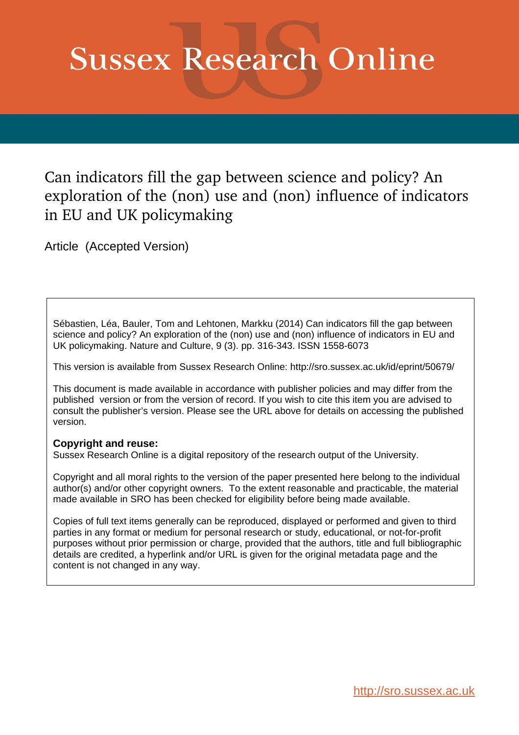# **Sussex Research Online**

Can indicators fill the gap between science and policy? An exploration of the (non) use and (non) influence of indicators in EU and UK policymaking

Article (Accepted Version)

Sébastien, Léa, Bauler, Tom and Lehtonen, Markku (2014) Can indicators fill the gap between science and policy? An exploration of the (non) use and (non) influence of indicators in EU and UK policymaking. Nature and Culture, 9 (3). pp. 316-343. ISSN 1558-6073

This version is available from Sussex Research Online: http://sro.sussex.ac.uk/id/eprint/50679/

This document is made available in accordance with publisher policies and may differ from the published version or from the version of record. If you wish to cite this item you are advised to consult the publisher's version. Please see the URL above for details on accessing the published version.

#### **Copyright and reuse:**

Sussex Research Online is a digital repository of the research output of the University.

Copyright and all moral rights to the version of the paper presented here belong to the individual author(s) and/or other copyright owners. To the extent reasonable and practicable, the material made available in SRO has been checked for eligibility before being made available.

Copies of full text items generally can be reproduced, displayed or performed and given to third parties in any format or medium for personal research or study, educational, or not-for-profit purposes without prior permission or charge, provided that the authors, title and full bibliographic details are credited, a hyperlink and/or URL is given for the original metadata page and the content is not changed in any way.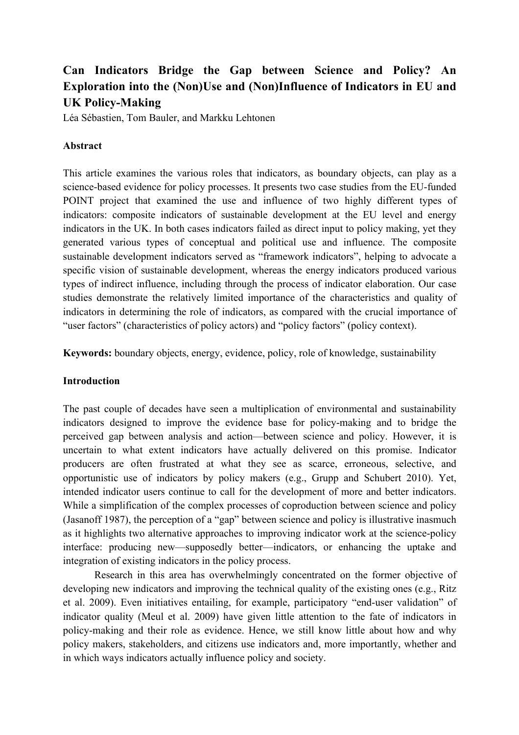# **Can Indicators Bridge the Gap between Science and Policy? An Exploration into the (Non)Use and (Non)Influence of Indicators in EU and UK Policy-Making**

Léa Sébastien, Tom Bauler, and Markku Lehtonen

## **Abstract**

This article examines the various roles that indicators, as boundary objects, can play as a science-based evidence for policy processes. It presents two case studies from the EU-funded POINT project that examined the use and influence of two highly different types of indicators: composite indicators of sustainable development at the EU level and energy indicators in the UK. In both cases indicators failed as direct input to policy making, yet they generated various types of conceptual and political use and influence. The composite sustainable development indicators served as "framework indicators", helping to advocate a specific vision of sustainable development, whereas the energy indicators produced various types of indirect influence, including through the process of indicator elaboration. Our case studies demonstrate the relatively limited importance of the characteristics and quality of indicators in determining the role of indicators, as compared with the crucial importance of "user factors" (characteristics of policy actors) and "policy factors" (policy context).

**Keywords:** boundary objects, energy, evidence, policy, role of knowledge, sustainability

#### **Introduction**

The past couple of decades have seen a multiplication of environmental and sustainability indicators designed to improve the evidence base for policy-making and to bridge the perceived gap between analysis and action—between science and policy. However, it is uncertain to what extent indicators have actually delivered on this promise. Indicator producers are often frustrated at what they see as scarce, erroneous, selective, and opportunistic use of indicators by policy makers (e.g., Grupp and Schubert 2010). Yet, intended indicator users continue to call for the development of more and better indicators. While a simplification of the complex processes of coproduction between science and policy (Jasanoff 1987), the perception of a "gap" between science and policy is illustrative inasmuch as it highlights two alternative approaches to improving indicator work at the science-policy interface: producing new—supposedly better—indicators, or enhancing the uptake and integration of existing indicators in the policy process.

Research in this area has overwhelmingly concentrated on the former objective of developing new indicators and improving the technical quality of the existing ones (e.g., Ritz et al. 2009). Even initiatives entailing, for example, participatory "end-user validation" of indicator quality (Meul et al. 2009) have given little attention to the fate of indicators in policy-making and their role as evidence. Hence, we still know little about how and why policy makers, stakeholders, and citizens use indicators and, more importantly, whether and in which ways indicators actually influence policy and society.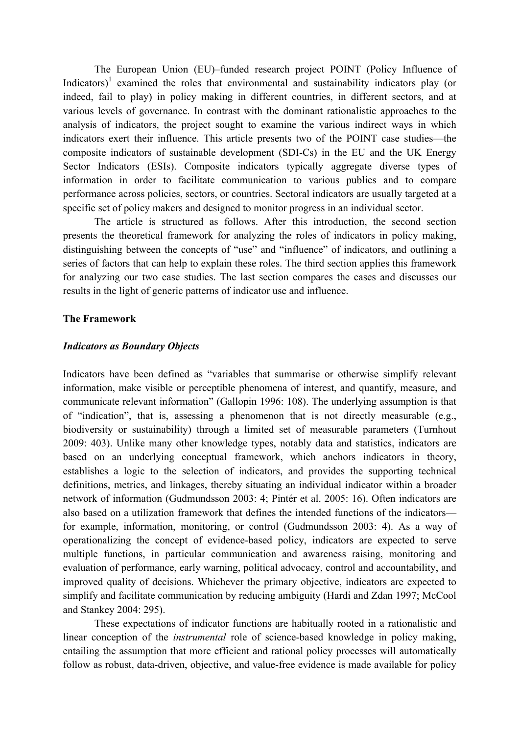The European Union (EU)–funded research project POINT (Policy Influence of Indicators)<sup>1</sup> examined the roles that environmental and sustainability indicators play (or indeed, fail to play) in policy making in different countries, in different sectors, and at various levels of governance. In contrast with the dominant rationalistic approaches to the analysis of indicators, the project sought to examine the various indirect ways in which indicators exert their influence. This article presents two of the POINT case studies—the composite indicators of sustainable development (SDI-Cs) in the EU and the UK Energy Sector Indicators (ESIs). Composite indicators typically aggregate diverse types of information in order to facilitate communication to various publics and to compare performance across policies, sectors, or countries. Sectoral indicators are usually targeted at a specific set of policy makers and designed to monitor progress in an individual sector.

The article is structured as follows. After this introduction, the second section presents the theoretical framework for analyzing the roles of indicators in policy making, distinguishing between the concepts of "use" and "influence" of indicators, and outlining a series of factors that can help to explain these roles. The third section applies this framework for analyzing our two case studies. The last section compares the cases and discusses our results in the light of generic patterns of indicator use and influence.

#### **The Framework**

#### *Indicators as Boundary Objects*

Indicators have been defined as "variables that summarise or otherwise simplify relevant information, make visible or perceptible phenomena of interest, and quantify, measure, and communicate relevant information" (Gallopin 1996: 108). The underlying assumption is that of "indication", that is, assessing a phenomenon that is not directly measurable (e.g., biodiversity or sustainability) through a limited set of measurable parameters (Turnhout 2009: 403). Unlike many other knowledge types, notably data and statistics, indicators are based on an underlying conceptual framework, which anchors indicators in theory, establishes a logic to the selection of indicators, and provides the supporting technical definitions, metrics, and linkages, thereby situating an individual indicator within a broader network of information (Gudmundsson 2003: 4; Pintér et al. 2005: 16). Often indicators are also based on a utilization framework that defines the intended functions of the indicators for example, information, monitoring, or control (Gudmundsson 2003: 4). As a way of operationalizing the concept of evidence-based policy, indicators are expected to serve multiple functions, in particular communication and awareness raising, monitoring and evaluation of performance, early warning, political advocacy, control and accountability, and improved quality of decisions. Whichever the primary objective, indicators are expected to simplify and facilitate communication by reducing ambiguity (Hardi and Zdan 1997; McCool and Stankey 2004: 295).

These expectations of indicator functions are habitually rooted in a rationalistic and linear conception of the *instrumental* role of science-based knowledge in policy making, entailing the assumption that more efficient and rational policy processes will automatically follow as robust, data-driven, objective, and value-free evidence is made available for policy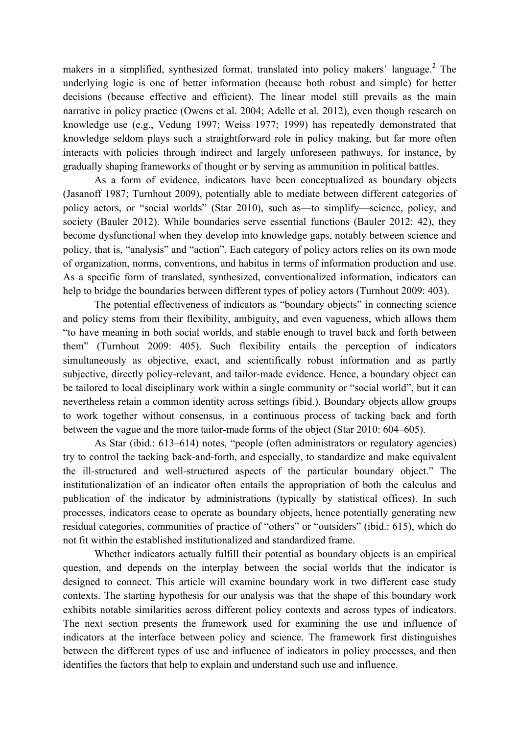makers in a simplified, synthesized format, translated into policy makers' language. $2$  The underlying logic is one of better information (because both robust and simple) for better decisions (because effective and efficient). The linear model still prevails as the main narrative in policy practice (Owens et al. 2004; Adelle et al. 2012), even though research on knowledge use (e.g., Vedung 1997; Weiss 1977; 1999) has repeatedly demonstrated that knowledge seldom plays such a straightforward role in policy making, but far more often interacts with policies through indirect and largely unforeseen pathways, for instance, by gradually shaping frameworks of thought or by serving as ammunition in political battles.

As a form of evidence, indicators have been conceptualized as boundary objects (Jasanoff 1987; Turnhout 2009), potentially able to mediate between different categories of policy actors, or "social worlds" (Star 2010), such as—to simplify—science, policy, and society (Bauler 2012). While boundaries serve essential functions (Bauler 2012: 42), they become dysfunctional when they develop into knowledge gaps, notably between science and policy, that is, "analysis" and "action". Each category of policy actors relies on its own mode of organization, norms, conventions, and habitus in terms of information production and use. As a specific form of translated, synthesized, conventionalized information, indicators can help to bridge the boundaries between different types of policy actors (Turnhout 2009: 403).

The potential effectiveness of indicators as "boundary objects" in connecting science and policy stems from their flexibility, ambiguity, and even vagueness, which allows them "to have meaning in both social worlds, and stable enough to travel back and forth between them" (Turnhout 2009: 405). Such flexibility entails the perception of indicators simultaneously as objective, exact, and scientifically robust information and as partly subjective, directly policy-relevant, and tailor-made evidence. Hence, a boundary object can be tailored to local disciplinary work within a single community or "social world", but it can nevertheless retain a common identity across settings (ibid.). Boundary objects allow groups to work together without consensus, in a continuous process of tacking back and forth between the vague and the more tailor-made forms of the object (Star 2010: 604–605).

As Star (ibid.: 613–614) notes, "people (often administrators or regulatory agencies) try to control the tacking back-and-forth, and especially, to standardize and make equivalent the ill-structured and well-structured aspects of the particular boundary object." The institutionalization of an indicator often entails the appropriation of both the calculus and publication of the indicator by administrations (typically by statistical offices). In such processes, indicators cease to operate as boundary objects, hence potentially generating new residual categories, communities of practice of "others" or "outsiders" (ibid.: 615), which do not fit within the established institutionalized and standardized frame.

Whether indicators actually fulfill their potential as boundary objects is an empirical question, and depends on the interplay between the social worlds that the indicator is designed to connect. This article will examine boundary work in two different case study contexts. The starting hypothesis for our analysis was that the shape of this boundary work exhibits notable similarities across different policy contexts and across types of indicators. The next section presents the framework used for examining the use and influence of indicators at the interface between policy and science. The framework first distinguishes between the different types of use and influence of indicators in policy processes, and then identifies the factors that help to explain and understand such use and influence.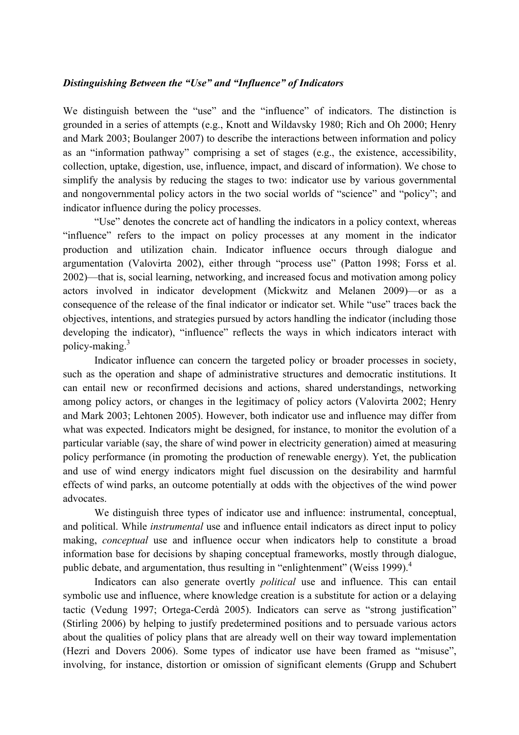#### *Distinguishing Between the "Use" and "Influence" of Indicators*

We distinguish between the "use" and the "influence" of indicators. The distinction is grounded in a series of attempts (e.g., Knott and Wildavsky 1980; Rich and Oh 2000; Henry and Mark 2003; Boulanger 2007) to describe the interactions between information and policy as an "information pathway" comprising a set of stages (e.g., the existence, accessibility, collection, uptake, digestion, use, influence, impact, and discard of information). We chose to simplify the analysis by reducing the stages to two: indicator use by various governmental and nongovernmental policy actors in the two social worlds of "science" and "policy"; and indicator influence during the policy processes.

"Use" denotes the concrete act of handling the indicators in a policy context, whereas "influence" refers to the impact on policy processes at any moment in the indicator production and utilization chain. Indicator influence occurs through dialogue and argumentation (Valovirta 2002), either through "process use" (Patton 1998; Forss et al. 2002)—that is, social learning, networking, and increased focus and motivation among policy actors involved in indicator development (Mickwitz and Melanen 2009)—or as a consequence of the release of the final indicator or indicator set. While "use" traces back the objectives, intentions, and strategies pursued by actors handling the indicator (including those developing the indicator), "influence" reflects the ways in which indicators interact with policy-making.3

Indicator influence can concern the targeted policy or broader processes in society, such as the operation and shape of administrative structures and democratic institutions. It can entail new or reconfirmed decisions and actions, shared understandings, networking among policy actors, or changes in the legitimacy of policy actors (Valovirta 2002; Henry and Mark 2003; Lehtonen 2005). However, both indicator use and influence may differ from what was expected. Indicators might be designed, for instance, to monitor the evolution of a particular variable (say, the share of wind power in electricity generation) aimed at measuring policy performance (in promoting the production of renewable energy). Yet, the publication and use of wind energy indicators might fuel discussion on the desirability and harmful effects of wind parks, an outcome potentially at odds with the objectives of the wind power advocates.

We distinguish three types of indicator use and influence: instrumental, conceptual, and political. While *instrumental* use and influence entail indicators as direct input to policy making, *conceptual* use and influence occur when indicators help to constitute a broad information base for decisions by shaping conceptual frameworks, mostly through dialogue, public debate, and argumentation, thus resulting in "enlightenment" (Weiss 1999).<sup>4</sup>

Indicators can also generate overtly *political* use and influence. This can entail symbolic use and influence, where knowledge creation is a substitute for action or a delaying tactic (Vedung 1997; Ortega-Cerdà 2005). Indicators can serve as "strong justification" (Stirling 2006) by helping to justify predetermined positions and to persuade various actors about the qualities of policy plans that are already well on their way toward implementation (Hezri and Dovers 2006). Some types of indicator use have been framed as "misuse", involving, for instance, distortion or omission of significant elements (Grupp and Schubert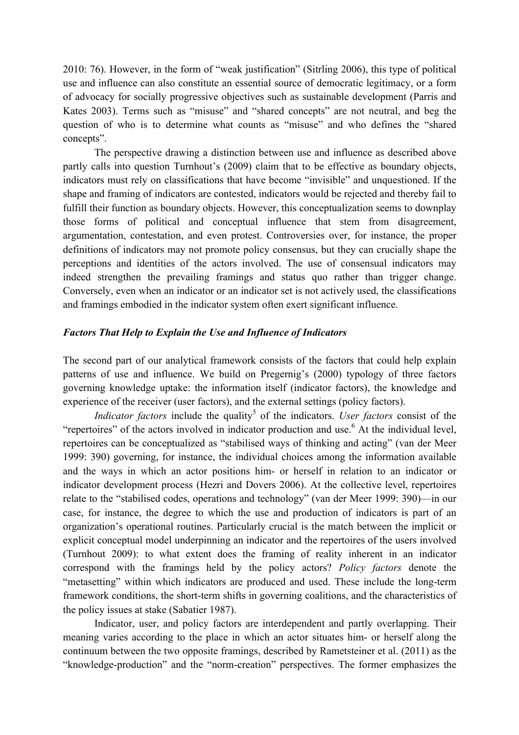2010: 76). However, in the form of "weak justification" (Sitrling 2006), this type of political use and influence can also constitute an essential source of democratic legitimacy, or a form of advocacy for socially progressive objectives such as sustainable development (Parris and Kates 2003). Terms such as "misuse" and "shared concepts" are not neutral, and beg the question of who is to determine what counts as "misuse" and who defines the "shared concepts".

The perspective drawing a distinction between use and influence as described above partly calls into question Turnhout's (2009) claim that to be effective as boundary objects, indicators must rely on classifications that have become "invisible" and unquestioned. If the shape and framing of indicators are contested, indicators would be rejected and thereby fail to fulfill their function as boundary objects. However, this conceptualization seems to downplay those forms of political and conceptual influence that stem from disagreement, argumentation, contestation, and even protest. Controversies over, for instance, the proper definitions of indicators may not promote policy consensus, but they can crucially shape the perceptions and identities of the actors involved. The use of consensual indicators may indeed strengthen the prevailing framings and status quo rather than trigger change. Conversely, even when an indicator or an indicator set is not actively used, the classifications and framings embodied in the indicator system often exert significant influence.

## *Factors That Help to Explain the Use and Influence of Indicators*

The second part of our analytical framework consists of the factors that could help explain patterns of use and influence. We build on Pregernig's (2000) typology of three factors governing knowledge uptake: the information itself (indicator factors), the knowledge and experience of the receiver (user factors), and the external settings (policy factors).

*Indicator factors* include the quality<sup>5</sup> of the indicators. *User factors* consist of the "repertoires" of the actors involved in indicator production and use.<sup>6</sup> At the individual level, repertoires can be conceptualized as "stabilised ways of thinking and acting" (van der Meer 1999: 390) governing, for instance, the individual choices among the information available and the ways in which an actor positions him- or herself in relation to an indicator or indicator development process (Hezri and Dovers 2006). At the collective level, repertoires relate to the "stabilised codes, operations and technology" (van der Meer 1999: 390)—in our case, for instance, the degree to which the use and production of indicators is part of an organization's operational routines. Particularly crucial is the match between the implicit or explicit conceptual model underpinning an indicator and the repertoires of the users involved (Turnhout 2009): to what extent does the framing of reality inherent in an indicator correspond with the framings held by the policy actors? *Policy factors* denote the "metasetting" within which indicators are produced and used. These include the long-term framework conditions, the short-term shifts in governing coalitions, and the characteristics of the policy issues at stake (Sabatier 1987).

Indicator, user, and policy factors are interdependent and partly overlapping. Their meaning varies according to the place in which an actor situates him- or herself along the continuum between the two opposite framings, described by Rametsteiner et al. (2011) as the "knowledge-production" and the "norm-creation" perspectives. The former emphasizes the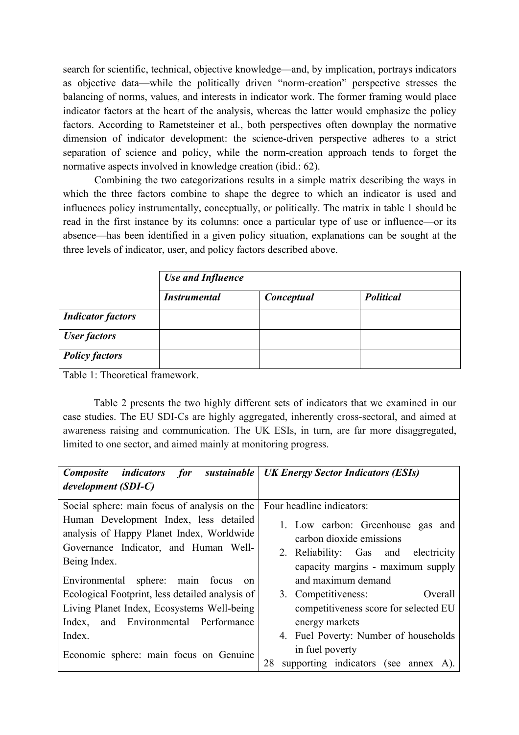search for scientific, technical, objective knowledge—and, by implication, portrays indicators as objective data—while the politically driven "norm-creation" perspective stresses the balancing of norms, values, and interests in indicator work. The former framing would place indicator factors at the heart of the analysis, whereas the latter would emphasize the policy factors. According to Rametsteiner et al., both perspectives often downplay the normative dimension of indicator development: the science-driven perspective adheres to a strict separation of science and policy, while the norm-creation approach tends to forget the normative aspects involved in knowledge creation (ibid.: 62).

Combining the two categorizations results in a simple matrix describing the ways in which the three factors combine to shape the degree to which an indicator is used and influences policy instrumentally, conceptually, or politically. The matrix in table 1 should be read in the first instance by its columns: once a particular type of use or influence—or its absence—has been identified in a given policy situation, explanations can be sought at the three levels of indicator, user, and policy factors described above.

|                          | <b>Use and Influence</b> |            |                  |  |
|--------------------------|--------------------------|------------|------------------|--|
|                          | <i>Instrumental</i>      | Conceptual | <b>Political</b> |  |
| <b>Indicator factors</b> |                          |            |                  |  |
| <b>User factors</b>      |                          |            |                  |  |
| <b>Policy factors</b>    |                          |            |                  |  |

Table 1: Theoretical framework.

Table 2 presents the two highly different sets of indicators that we examined in our case studies. The EU SDI-Cs are highly aggregated, inherently cross-sectoral, and aimed at awareness raising and communication. The UK ESIs, in turn, are far more disaggregated, limited to one sector, and aimed mainly at monitoring progress.

| for sustainable<br><i>Composite indicators</i>                                                                                               | <b>UK Energy Sector Indicators (ESIs)</b>                                                                                                    |  |  |
|----------------------------------------------------------------------------------------------------------------------------------------------|----------------------------------------------------------------------------------------------------------------------------------------------|--|--|
| development (SDI-C)                                                                                                                          |                                                                                                                                              |  |  |
| Social sphere: main focus of analysis on the                                                                                                 | Four headline indicators:                                                                                                                    |  |  |
| Human Development Index, less detailed<br>analysis of Happy Planet Index, Worldwide<br>Governance Indicator, and Human Well-<br>Being Index. | 1. Low carbon: Greenhouse gas and<br>carbon dioxide emissions<br>2. Reliability: Gas and<br>electricity<br>capacity margins - maximum supply |  |  |
| Environmental sphere: main focus<br><sub>on</sub>                                                                                            | and maximum demand                                                                                                                           |  |  |
| Ecological Footprint, less detailed analysis of                                                                                              | 3. Competitiveness:<br>Overall                                                                                                               |  |  |
| Living Planet Index, Ecosystems Well-being<br>and Environmental Performance<br>Index,                                                        | competitiveness score for selected EU<br>energy markets                                                                                      |  |  |
| Index.                                                                                                                                       | 4. Fuel Poverty: Number of households                                                                                                        |  |  |
| Economic sphere: main focus on Genuine                                                                                                       | in fuel poverty<br>supporting indicators (see annex A).<br>28                                                                                |  |  |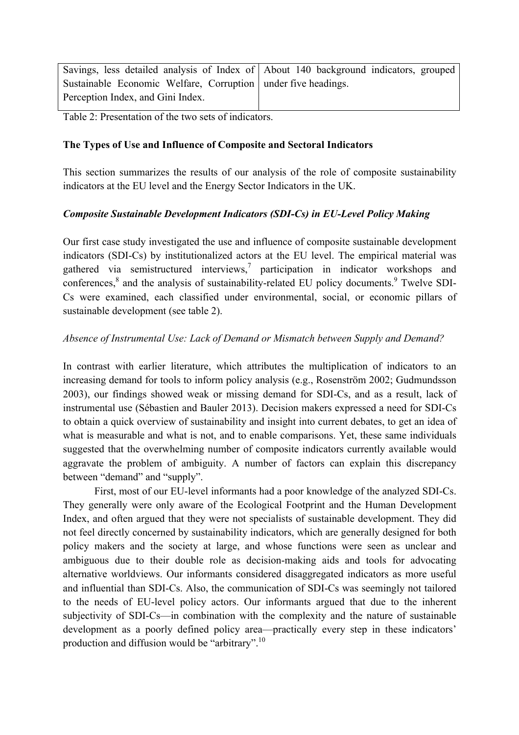Savings, less detailed analysis of Index of Sustainable Economic Welfare, Corruption Perception Index, and Gini Index. About 140 background indicators, grouped under five headings.

Table 2: Presentation of the two sets of indicators.

# **The Types of Use and Influence of Composite and Sectoral Indicators**

This section summarizes the results of our analysis of the role of composite sustainability indicators at the EU level and the Energy Sector Indicators in the UK.

## *Composite Sustainable Development Indicators (SDI-Cs) in EU-Level Policy Making*

Our first case study investigated the use and influence of composite sustainable development indicators (SDI-Cs) by institutionalized actors at the EU level. The empirical material was gathered via semistructured interviews,<sup>7</sup> participation in indicator workshops and conferences,<sup>8</sup> and the analysis of sustainability-related EU policy documents.<sup>9</sup> Twelve SDI-Cs were examined, each classified under environmental, social, or economic pillars of sustainable development (see table 2).

## *Absence of Instrumental Use: Lack of Demand or Mismatch between Supply and Demand?*

In contrast with earlier literature, which attributes the multiplication of indicators to an increasing demand for tools to inform policy analysis (e.g., Rosenström 2002; Gudmundsson 2003), our findings showed weak or missing demand for SDI-Cs, and as a result, lack of instrumental use (Sébastien and Bauler 2013). Decision makers expressed a need for SDI-Cs to obtain a quick overview of sustainability and insight into current debates, to get an idea of what is measurable and what is not, and to enable comparisons. Yet, these same individuals suggested that the overwhelming number of composite indicators currently available would aggravate the problem of ambiguity. A number of factors can explain this discrepancy between "demand" and "supply".

First, most of our EU-level informants had a poor knowledge of the analyzed SDI-Cs. They generally were only aware of the Ecological Footprint and the Human Development Index, and often argued that they were not specialists of sustainable development. They did not feel directly concerned by sustainability indicators, which are generally designed for both policy makers and the society at large, and whose functions were seen as unclear and ambiguous due to their double role as decision-making aids and tools for advocating alternative worldviews. Our informants considered disaggregated indicators as more useful and influential than SDI-Cs. Also, the communication of SDI-Cs was seemingly not tailored to the needs of EU-level policy actors. Our informants argued that due to the inherent subjectivity of SDI-Cs—in combination with the complexity and the nature of sustainable development as a poorly defined policy area—practically every step in these indicators' production and diffusion would be "arbitrary".10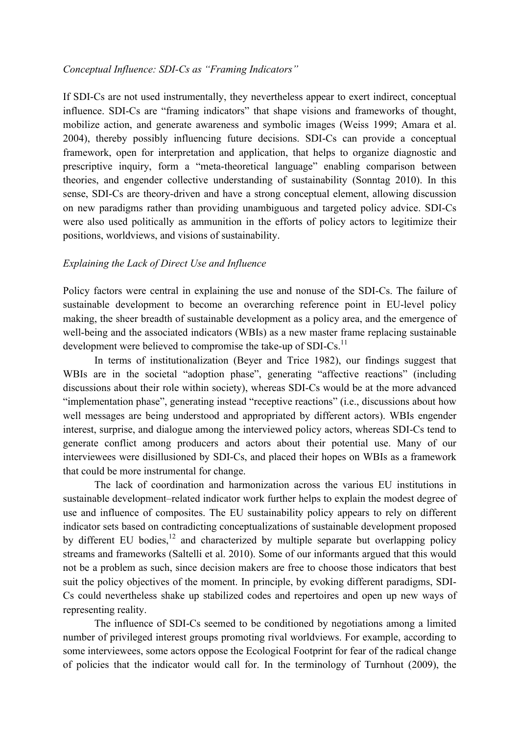#### *Conceptual Influence: SDI-Cs as "Framing Indicators"*

If SDI-Cs are not used instrumentally, they nevertheless appear to exert indirect, conceptual influence. SDI-Cs are "framing indicators" that shape visions and frameworks of thought, mobilize action, and generate awareness and symbolic images (Weiss 1999; Amara et al. 2004), thereby possibly influencing future decisions. SDI-Cs can provide a conceptual framework, open for interpretation and application, that helps to organize diagnostic and prescriptive inquiry, form a "meta-theoretical language" enabling comparison between theories, and engender collective understanding of sustainability (Sonntag 2010). In this sense, SDI-Cs are theory-driven and have a strong conceptual element, allowing discussion on new paradigms rather than providing unambiguous and targeted policy advice. SDI-Cs were also used politically as ammunition in the efforts of policy actors to legitimize their positions, worldviews, and visions of sustainability.

#### *Explaining the Lack of Direct Use and Influence*

Policy factors were central in explaining the use and nonuse of the SDI-Cs. The failure of sustainable development to become an overarching reference point in EU-level policy making, the sheer breadth of sustainable development as a policy area, and the emergence of well-being and the associated indicators (WBIs) as a new master frame replacing sustainable development were believed to compromise the take-up of SDI-Cs.<sup>11</sup>

In terms of institutionalization (Beyer and Trice 1982), our findings suggest that WBIs are in the societal "adoption phase", generating "affective reactions" (including discussions about their role within society), whereas SDI-Cs would be at the more advanced "implementation phase", generating instead "receptive reactions" (i.e., discussions about how well messages are being understood and appropriated by different actors). WBIs engender interest, surprise, and dialogue among the interviewed policy actors, whereas SDI-Cs tend to generate conflict among producers and actors about their potential use. Many of our interviewees were disillusioned by SDI-Cs, and placed their hopes on WBIs as a framework that could be more instrumental for change.

The lack of coordination and harmonization across the various EU institutions in sustainable development–related indicator work further helps to explain the modest degree of use and influence of composites. The EU sustainability policy appears to rely on different indicator sets based on contradicting conceptualizations of sustainable development proposed by different EU bodies, $12$  and characterized by multiple separate but overlapping policy streams and frameworks (Saltelli et al. 2010). Some of our informants argued that this would not be a problem as such, since decision makers are free to choose those indicators that best suit the policy objectives of the moment. In principle, by evoking different paradigms, SDI-Cs could nevertheless shake up stabilized codes and repertoires and open up new ways of representing reality.

The influence of SDI-Cs seemed to be conditioned by negotiations among a limited number of privileged interest groups promoting rival worldviews. For example, according to some interviewees, some actors oppose the Ecological Footprint for fear of the radical change of policies that the indicator would call for. In the terminology of Turnhout (2009), the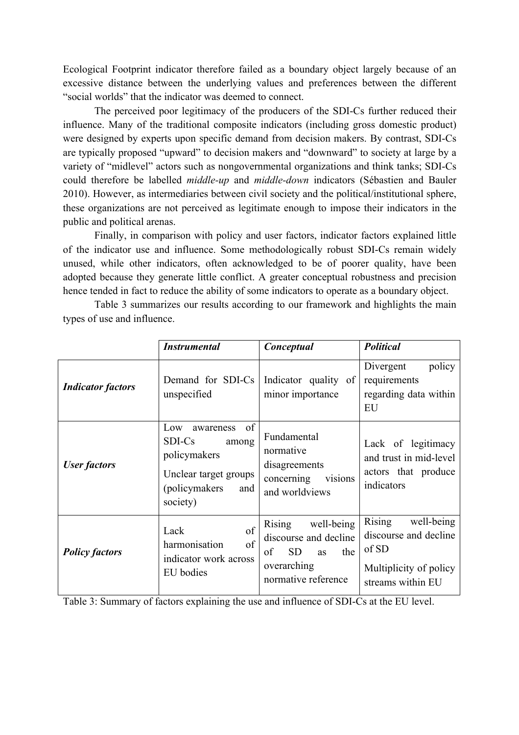Ecological Footprint indicator therefore failed as a boundary object largely because of an excessive distance between the underlying values and preferences between the different "social worlds" that the indicator was deemed to connect.

The perceived poor legitimacy of the producers of the SDI-Cs further reduced their influence. Many of the traditional composite indicators (including gross domestic product) were designed by experts upon specific demand from decision makers. By contrast, SDI-Cs are typically proposed "upward" to decision makers and "downward" to society at large by a variety of "midlevel" actors such as nongovernmental organizations and think tanks; SDI-Cs could therefore be labelled *middle-up* and *middle-down* indicators (Sébastien and Bauler 2010). However, as intermediaries between civil society and the political/institutional sphere, these organizations are not perceived as legitimate enough to impose their indicators in the public and political arenas.

Finally, in comparison with policy and user factors, indicator factors explained little of the indicator use and influence. Some methodologically robust SDI-Cs remain widely unused, while other indicators, often acknowledged to be of poorer quality, have been adopted because they generate little conflict. A greater conceptual robustness and precision hence tended in fact to reduce the ability of some indicators to operate as a boundary object.

Table 3 summarizes our results according to our framework and highlights the main types of use and influence.

|                          | <b>Instrumental</b>                                                                                                     | Conceptual                                                                                                                 | <b>Political</b>                                                                                             |
|--------------------------|-------------------------------------------------------------------------------------------------------------------------|----------------------------------------------------------------------------------------------------------------------------|--------------------------------------------------------------------------------------------------------------|
| <b>Indicator factors</b> | Demand for SDI-Cs<br>unspecified                                                                                        | Indicator quality of<br>minor importance                                                                                   | policy<br>Divergent<br>requirements<br>regarding data within<br>EU                                           |
| <b>User factors</b>      | of<br>Low<br>awareness<br>SDI-Cs<br>among<br>policymakers<br>Unclear target groups<br>(policymakers)<br>and<br>society) | Fundamental<br>normative<br>disagreements<br>visions<br>concerning<br>and worldviews                                       | Lack of legitimacy<br>and trust in mid-level<br>actors that produce<br>indicators                            |
| <b>Policy factors</b>    | of<br>Lack<br>of<br>harmonisation<br>indicator work across<br>EU bodies                                                 | <b>Rising</b><br>well-being<br>discourse and decline<br><b>SD</b><br>of<br>the<br>as<br>overarching<br>normative reference | <b>Rising</b><br>well-being<br>discourse and decline<br>of SD<br>Multiplicity of policy<br>streams within EU |

Table 3: Summary of factors explaining the use and influence of SDI-Cs at the EU level.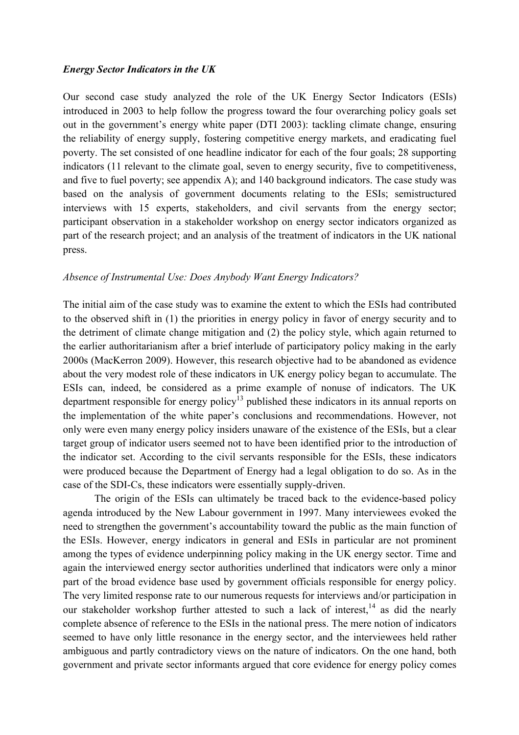#### *Energy Sector Indicators in the UK*

Our second case study analyzed the role of the UK Energy Sector Indicators (ESIs) introduced in 2003 to help follow the progress toward the four overarching policy goals set out in the government's energy white paper (DTI 2003): tackling climate change, ensuring the reliability of energy supply, fostering competitive energy markets, and eradicating fuel poverty. The set consisted of one headline indicator for each of the four goals; 28 supporting indicators (11 relevant to the climate goal, seven to energy security, five to competitiveness, and five to fuel poverty; see appendix A); and 140 background indicators. The case study was based on the analysis of government documents relating to the ESIs; semistructured interviews with 15 experts, stakeholders, and civil servants from the energy sector; participant observation in a stakeholder workshop on energy sector indicators organized as part of the research project; and an analysis of the treatment of indicators in the UK national press.

#### *Absence of Instrumental Use: Does Anybody Want Energy Indicators?*

The initial aim of the case study was to examine the extent to which the ESIs had contributed to the observed shift in (1) the priorities in energy policy in favor of energy security and to the detriment of climate change mitigation and (2) the policy style, which again returned to the earlier authoritarianism after a brief interlude of participatory policy making in the early 2000s (MacKerron 2009). However, this research objective had to be abandoned as evidence about the very modest role of these indicators in UK energy policy began to accumulate. The ESIs can, indeed, be considered as a prime example of nonuse of indicators. The UK department responsible for energy policy<sup>13</sup> published these indicators in its annual reports on the implementation of the white paper's conclusions and recommendations. However, not only were even many energy policy insiders unaware of the existence of the ESIs, but a clear target group of indicator users seemed not to have been identified prior to the introduction of the indicator set. According to the civil servants responsible for the ESIs, these indicators were produced because the Department of Energy had a legal obligation to do so. As in the case of the SDI-Cs, these indicators were essentially supply-driven.

The origin of the ESIs can ultimately be traced back to the evidence-based policy agenda introduced by the New Labour government in 1997. Many interviewees evoked the need to strengthen the government's accountability toward the public as the main function of the ESIs. However, energy indicators in general and ESIs in particular are not prominent among the types of evidence underpinning policy making in the UK energy sector. Time and again the interviewed energy sector authorities underlined that indicators were only a minor part of the broad evidence base used by government officials responsible for energy policy. The very limited response rate to our numerous requests for interviews and/or participation in our stakeholder workshop further attested to such a lack of interest,<sup>14</sup> as did the nearly complete absence of reference to the ESIs in the national press. The mere notion of indicators seemed to have only little resonance in the energy sector, and the interviewees held rather ambiguous and partly contradictory views on the nature of indicators. On the one hand, both government and private sector informants argued that core evidence for energy policy comes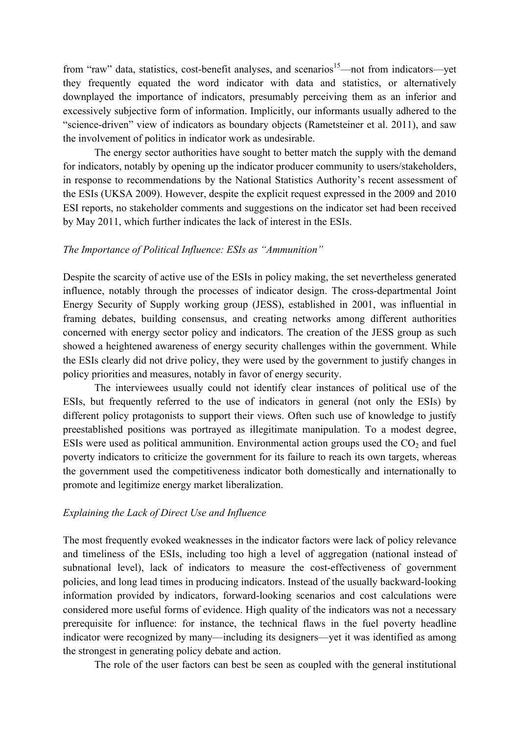from "raw" data, statistics, cost-benefit analyses, and scenarios<sup>15</sup>—not from indicators—yet they frequently equated the word indicator with data and statistics, or alternatively downplayed the importance of indicators, presumably perceiving them as an inferior and excessively subjective form of information. Implicitly, our informants usually adhered to the "science-driven" view of indicators as boundary objects (Rametsteiner et al. 2011), and saw the involvement of politics in indicator work as undesirable.

The energy sector authorities have sought to better match the supply with the demand for indicators, notably by opening up the indicator producer community to users/stakeholders, in response to recommendations by the National Statistics Authority's recent assessment of the ESIs (UKSA 2009). However, despite the explicit request expressed in the 2009 and 2010 ESI reports, no stakeholder comments and suggestions on the indicator set had been received by May 2011, which further indicates the lack of interest in the ESIs.

### *The Importance of Political Influence: ESIs as "Ammunition"*

Despite the scarcity of active use of the ESIs in policy making, the set nevertheless generated influence, notably through the processes of indicator design. The cross-departmental Joint Energy Security of Supply working group (JESS), established in 2001, was influential in framing debates, building consensus, and creating networks among different authorities concerned with energy sector policy and indicators. The creation of the JESS group as such showed a heightened awareness of energy security challenges within the government. While the ESIs clearly did not drive policy, they were used by the government to justify changes in policy priorities and measures, notably in favor of energy security.

The interviewees usually could not identify clear instances of political use of the ESIs, but frequently referred to the use of indicators in general (not only the ESIs) by different policy protagonists to support their views. Often such use of knowledge to justify preestablished positions was portrayed as illegitimate manipulation. To a modest degree, ESIs were used as political ammunition. Environmental action groups used the  $CO<sub>2</sub>$  and fuel poverty indicators to criticize the government for its failure to reach its own targets, whereas the government used the competitiveness indicator both domestically and internationally to promote and legitimize energy market liberalization.

#### *Explaining the Lack of Direct Use and Influence*

The most frequently evoked weaknesses in the indicator factors were lack of policy relevance and timeliness of the ESIs, including too high a level of aggregation (national instead of subnational level), lack of indicators to measure the cost-effectiveness of government policies, and long lead times in producing indicators. Instead of the usually backward-looking information provided by indicators, forward-looking scenarios and cost calculations were considered more useful forms of evidence. High quality of the indicators was not a necessary prerequisite for influence: for instance, the technical flaws in the fuel poverty headline indicator were recognized by many—including its designers—yet it was identified as among the strongest in generating policy debate and action.

The role of the user factors can best be seen as coupled with the general institutional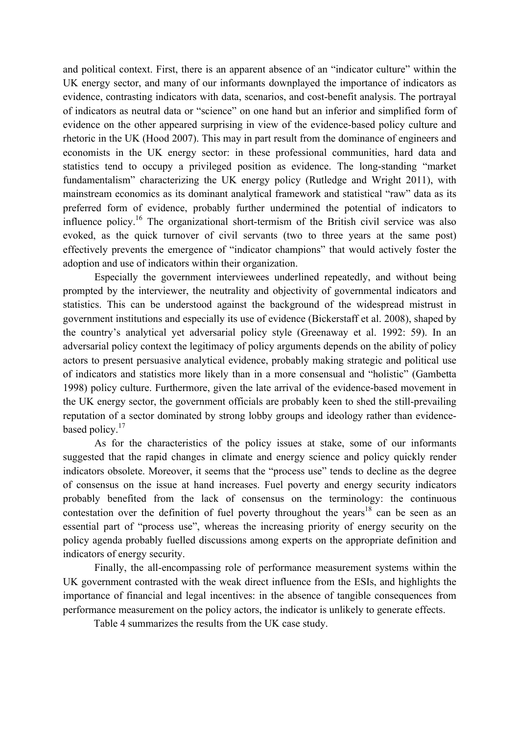and political context. First, there is an apparent absence of an "indicator culture" within the UK energy sector, and many of our informants downplayed the importance of indicators as evidence, contrasting indicators with data, scenarios, and cost-benefit analysis. The portrayal of indicators as neutral data or "science" on one hand but an inferior and simplified form of evidence on the other appeared surprising in view of the evidence-based policy culture and rhetoric in the UK (Hood 2007). This may in part result from the dominance of engineers and economists in the UK energy sector: in these professional communities, hard data and statistics tend to occupy a privileged position as evidence. The long-standing "market fundamentalism" characterizing the UK energy policy (Rutledge and Wright 2011), with mainstream economics as its dominant analytical framework and statistical "raw" data as its preferred form of evidence, probably further undermined the potential of indicators to influence policy.<sup>16</sup> The organizational short-termism of the British civil service was also evoked, as the quick turnover of civil servants (two to three years at the same post) effectively prevents the emergence of "indicator champions" that would actively foster the adoption and use of indicators within their organization.

Especially the government interviewees underlined repeatedly, and without being prompted by the interviewer, the neutrality and objectivity of governmental indicators and statistics. This can be understood against the background of the widespread mistrust in government institutions and especially its use of evidence (Bickerstaff et al. 2008), shaped by the country's analytical yet adversarial policy style (Greenaway et al. 1992: 59). In an adversarial policy context the legitimacy of policy arguments depends on the ability of policy actors to present persuasive analytical evidence, probably making strategic and political use of indicators and statistics more likely than in a more consensual and "holistic" (Gambetta 1998) policy culture. Furthermore, given the late arrival of the evidence-based movement in the UK energy sector, the government officials are probably keen to shed the still-prevailing reputation of a sector dominated by strong lobby groups and ideology rather than evidencebased policy.<sup>17</sup>

As for the characteristics of the policy issues at stake, some of our informants suggested that the rapid changes in climate and energy science and policy quickly render indicators obsolete. Moreover, it seems that the "process use" tends to decline as the degree of consensus on the issue at hand increases. Fuel poverty and energy security indicators probably benefited from the lack of consensus on the terminology: the continuous contestation over the definition of fuel poverty throughout the years<sup>18</sup> can be seen as an essential part of "process use", whereas the increasing priority of energy security on the policy agenda probably fuelled discussions among experts on the appropriate definition and indicators of energy security.

Finally, the all-encompassing role of performance measurement systems within the UK government contrasted with the weak direct influence from the ESIs, and highlights the importance of financial and legal incentives: in the absence of tangible consequences from performance measurement on the policy actors, the indicator is unlikely to generate effects.

Table 4 summarizes the results from the UK case study.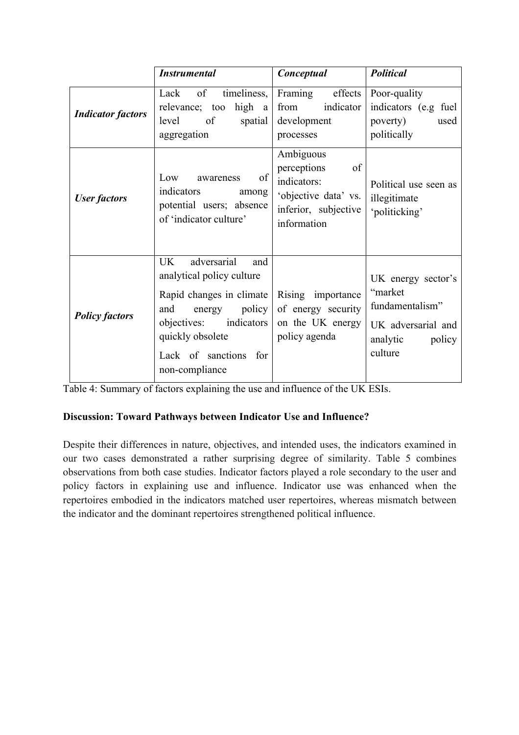|                          | <b>Instrumental</b>                                                                                                                                                                                                | Conceptual                                                                                                   | <b>Political</b>                                                                                        |  |  |
|--------------------------|--------------------------------------------------------------------------------------------------------------------------------------------------------------------------------------------------------------------|--------------------------------------------------------------------------------------------------------------|---------------------------------------------------------------------------------------------------------|--|--|
| <b>Indicator factors</b> | of<br>timeliness,<br>Lack<br>high a<br>relevance; too<br><sub>of</sub><br>level<br>spatial<br>aggregation                                                                                                          | Framing<br>effects<br>indicator<br>from<br>development<br>processes                                          | Poor-quality<br>indicators (e.g fuel<br>poverty)<br>used<br>politically                                 |  |  |
| <b>User factors</b>      | of<br>Low<br>awareness<br>indicators<br>among<br>potential users; absence<br>of 'indicator culture'                                                                                                                | Ambiguous<br>perceptions<br>of<br>indicators:<br>'objective data' vs.<br>inferior, subjective<br>information | Political use seen as<br>illegitimate<br>'politicking'                                                  |  |  |
| <b>Policy factors</b>    | adversarial<br><b>UK</b><br>and<br>analytical policy culture<br>Rapid changes in climate<br>policy<br>and<br>energy<br>indicators<br>objectives:<br>quickly obsolete<br>Lack of sanctions<br>for<br>non-compliance | Rising importance<br>of energy security<br>on the UK energy<br>policy agenda                                 | UK energy sector's<br>"market<br>fundamentalism"<br>UK adversarial and<br>analytic<br>policy<br>culture |  |  |

Table 4: Summary of factors explaining the use and influence of the UK ESIs.

# **Discussion: Toward Pathways between Indicator Use and Influence?**

Despite their differences in nature, objectives, and intended uses, the indicators examined in our two cases demonstrated a rather surprising degree of similarity. Table 5 combines observations from both case studies. Indicator factors played a role secondary to the user and policy factors in explaining use and influence. Indicator use was enhanced when the repertoires embodied in the indicators matched user repertoires, whereas mismatch between the indicator and the dominant repertoires strengthened political influence.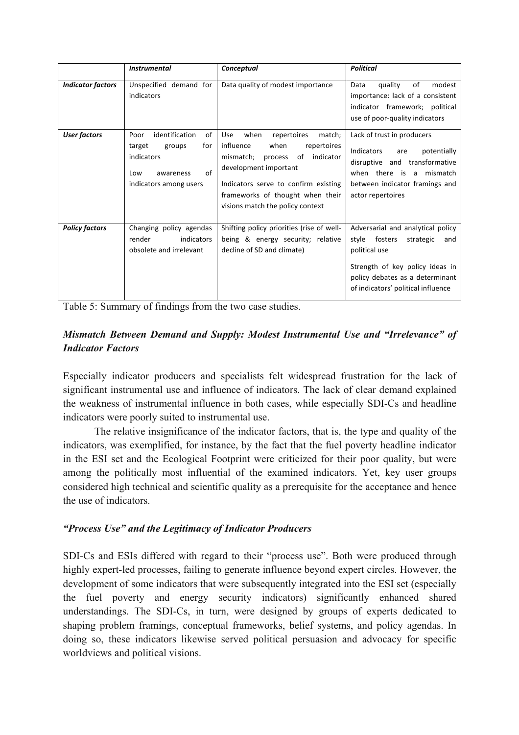|                          | <b>Instrumental</b>                                                                                                       | Conceptual                                                                                                                                                                                                                                                   | <b>Political</b>                                                                                                                                                                                       |
|--------------------------|---------------------------------------------------------------------------------------------------------------------------|--------------------------------------------------------------------------------------------------------------------------------------------------------------------------------------------------------------------------------------------------------------|--------------------------------------------------------------------------------------------------------------------------------------------------------------------------------------------------------|
| <b>Indicator factors</b> | Unspecified demand for<br>indicators                                                                                      | Data quality of modest importance                                                                                                                                                                                                                            | of<br>modest<br>quality<br>Data<br>importance: lack of a consistent<br>indicator framework; political<br>use of poor-quality indicators                                                                |
| <b>User factors</b>      | identification<br>of<br>Poor<br>for<br>target<br>groups<br>indicators<br>of<br>Low<br>awareness<br>indicators among users | Use<br>when<br>repertoires<br>match;<br>influence<br>when<br>repertoires<br>indicator<br>mismatch;<br>of<br>process<br>development important<br>Indicators serve to confirm existing<br>frameworks of thought when their<br>visions match the policy context | Lack of trust in producers<br>Indicators<br>potentially<br>are<br>disruptive and transformative<br>when there is a mismatch<br>between indicator framings and<br>actor repertoires                     |
| <b>Policy factors</b>    | Changing policy agendas<br>indicators<br>render<br>obsolete and irrelevant                                                | Shifting policy priorities (rise of well-<br>being & energy security; relative<br>decline of SD and climate)                                                                                                                                                 | Adversarial and analytical policy<br>fosters<br>style<br>strategic<br>and<br>political use<br>Strength of key policy ideas in<br>policy debates as a determinant<br>of indicators' political influence |

Table 5: Summary of findings from the two case studies.

# *Mismatch Between Demand and Supply: Modest Instrumental Use and "Irrelevance" of Indicator Factors*

Especially indicator producers and specialists felt widespread frustration for the lack of significant instrumental use and influence of indicators. The lack of clear demand explained the weakness of instrumental influence in both cases, while especially SDI-Cs and headline indicators were poorly suited to instrumental use.

The relative insignificance of the indicator factors, that is, the type and quality of the indicators, was exemplified, for instance, by the fact that the fuel poverty headline indicator in the ESI set and the Ecological Footprint were criticized for their poor quality, but were among the politically most influential of the examined indicators. Yet, key user groups considered high technical and scientific quality as a prerequisite for the acceptance and hence the use of indicators.

# *"Process Use" and the Legitimacy of Indicator Producers*

SDI-Cs and ESIs differed with regard to their "process use". Both were produced through highly expert-led processes, failing to generate influence beyond expert circles. However, the development of some indicators that were subsequently integrated into the ESI set (especially the fuel poverty and energy security indicators) significantly enhanced shared understandings. The SDI-Cs, in turn, were designed by groups of experts dedicated to shaping problem framings, conceptual frameworks, belief systems, and policy agendas. In doing so, these indicators likewise served political persuasion and advocacy for specific worldviews and political visions.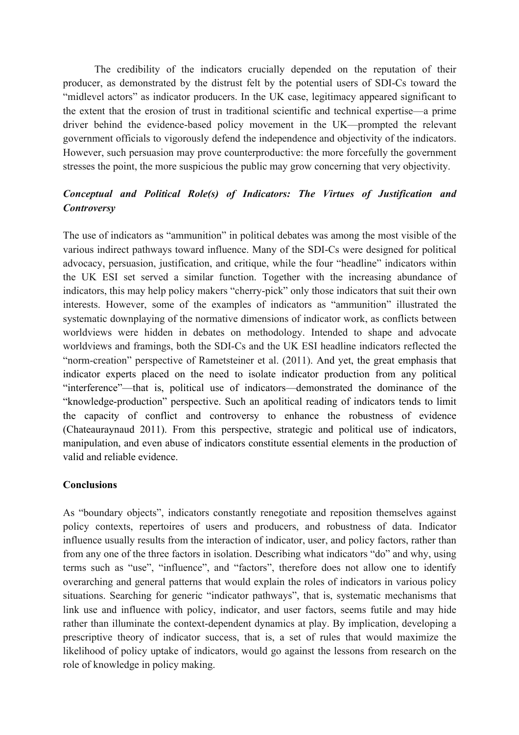The credibility of the indicators crucially depended on the reputation of their producer, as demonstrated by the distrust felt by the potential users of SDI-Cs toward the "midlevel actors" as indicator producers. In the UK case, legitimacy appeared significant to the extent that the erosion of trust in traditional scientific and technical expertise—a prime driver behind the evidence-based policy movement in the UK—prompted the relevant government officials to vigorously defend the independence and objectivity of the indicators. However, such persuasion may prove counterproductive: the more forcefully the government stresses the point, the more suspicious the public may grow concerning that very objectivity.

# *Conceptual and Political Role(s) of Indicators: The Virtues of Justification and Controversy*

The use of indicators as "ammunition" in political debates was among the most visible of the various indirect pathways toward influence. Many of the SDI-Cs were designed for political advocacy, persuasion, justification, and critique, while the four "headline" indicators within the UK ESI set served a similar function. Together with the increasing abundance of indicators, this may help policy makers "cherry-pick" only those indicators that suit their own interests. However, some of the examples of indicators as "ammunition" illustrated the systematic downplaying of the normative dimensions of indicator work, as conflicts between worldviews were hidden in debates on methodology. Intended to shape and advocate worldviews and framings, both the SDI-Cs and the UK ESI headline indicators reflected the "norm-creation" perspective of Rametsteiner et al. (2011). And yet, the great emphasis that indicator experts placed on the need to isolate indicator production from any political "interference"—that is, political use of indicators—demonstrated the dominance of the "knowledge-production" perspective. Such an apolitical reading of indicators tends to limit the capacity of conflict and controversy to enhance the robustness of evidence (Chateauraynaud 2011). From this perspective, strategic and political use of indicators, manipulation, and even abuse of indicators constitute essential elements in the production of valid and reliable evidence.

# **Conclusions**

As "boundary objects", indicators constantly renegotiate and reposition themselves against policy contexts, repertoires of users and producers, and robustness of data. Indicator influence usually results from the interaction of indicator, user, and policy factors, rather than from any one of the three factors in isolation. Describing what indicators "do" and why, using terms such as "use", "influence", and "factors", therefore does not allow one to identify overarching and general patterns that would explain the roles of indicators in various policy situations. Searching for generic "indicator pathways", that is, systematic mechanisms that link use and influence with policy, indicator, and user factors, seems futile and may hide rather than illuminate the context-dependent dynamics at play. By implication, developing a prescriptive theory of indicator success, that is, a set of rules that would maximize the likelihood of policy uptake of indicators, would go against the lessons from research on the role of knowledge in policy making.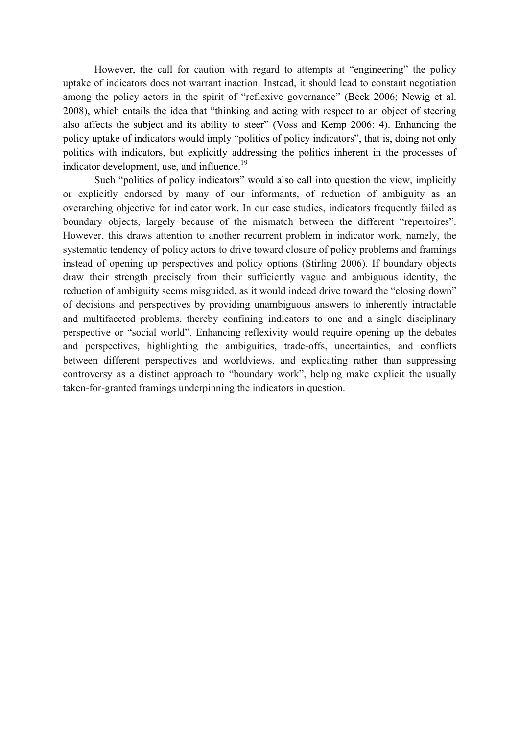However, the call for caution with regard to attempts at "engineering" the policy uptake of indicators does not warrant inaction. Instead, it should lead to constant negotiation among the policy actors in the spirit of "reflexive governance" (Beck 2006; Newig et al. 2008), which entails the idea that "thinking and acting with respect to an object of steering also affects the subject and its ability to steer" (Voss and Kemp 2006: 4). Enhancing the policy uptake of indicators would imply "politics of policy indicators", that is, doing not only politics with indicators, but explicitly addressing the politics inherent in the processes of indicator development, use, and influence.<sup>19</sup>

Such "politics of policy indicators" would also call into question the view, implicitly or explicitly endorsed by many of our informants, of reduction of ambiguity as an overarching objective for indicator work. In our case studies, indicators frequently failed as boundary objects, largely because of the mismatch between the different "repertoires". However, this draws attention to another recurrent problem in indicator work, namely, the systematic tendency of policy actors to drive toward closure of policy problems and framings instead of opening up perspectives and policy options (Stirling 2006). If boundary objects draw their strength precisely from their sufficiently vague and ambiguous identity, the reduction of ambiguity seems misguided, as it would indeed drive toward the "closing down" of decisions and perspectives by providing unambiguous answers to inherently intractable and multifaceted problems, thereby confining indicators to one and a single disciplinary perspective or "social world". Enhancing reflexivity would require opening up the debates and perspectives, highlighting the ambiguities, trade-offs, uncertainties, and conflicts between different perspectives and worldviews, and explicating rather than suppressing controversy as a distinct approach to "boundary work", helping make explicit the usually taken-for-granted framings underpinning the indicators in question.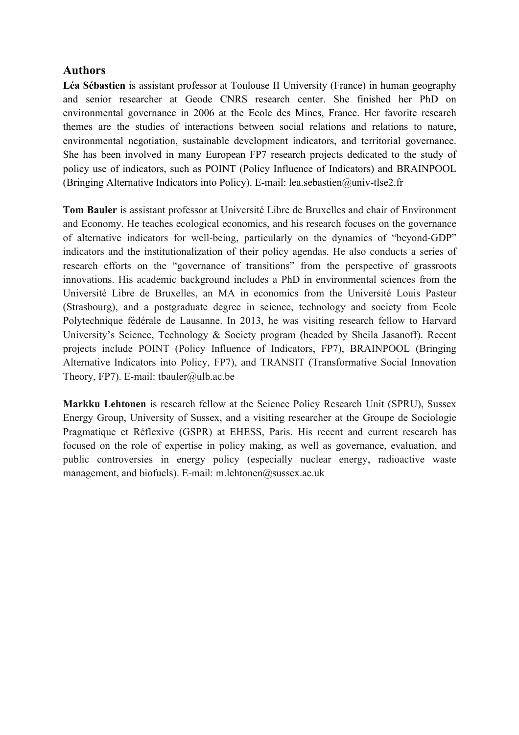# **Authors**

**Léa Sébastien** is assistant professor at Toulouse II University (France) in human geography and senior researcher at Geode CNRS research center. She finished her PhD on environmental governance in 2006 at the Ecole des Mines, France. Her favorite research themes are the studies of interactions between social relations and relations to nature, environmental negotiation, sustainable development indicators, and territorial governance. She has been involved in many European FP7 research projects dedicated to the study of policy use of indicators, such as POINT (Policy Influence of Indicators) and BRAINPOOL (Bringing Alternative Indicators into Policy). E-mail: lea.sebastien@univ-tlse2.fr

**Tom Bauler** is assistant professor at Université Libre de Bruxelles and chair of Environment and Economy. He teaches ecological economics, and his research focuses on the governance of alternative indicators for well-being, particularly on the dynamics of "beyond-GDP" indicators and the institutionalization of their policy agendas. He also conducts a series of research efforts on the "governance of transitions" from the perspective of grassroots innovations. His academic background includes a PhD in environmental sciences from the Université Libre de Bruxelles, an MA in economics from the Université Louis Pasteur (Strasbourg), and a postgraduate degree in science, technology and society from Ecole Polytechnique fédérale de Lausanne. In 2013, he was visiting research fellow to Harvard University's Science, Technology & Society program (headed by Sheila Jasanoff). Recent projects include POINT (Policy Influence of Indicators, FP7), BRAINPOOL (Bringing Alternative Indicators into Policy, FP7), and TRANSIT (Transformative Social Innovation Theory, FP7). E-mail: tbauler@ulb.ac.be

**Markku Lehtonen** is research fellow at the Science Policy Research Unit (SPRU), Sussex Energy Group, University of Sussex, and a visiting researcher at the Groupe de Sociologie Pragmatique et Réflexive (GSPR) at EHESS, Paris. His recent and current research has focused on the role of expertise in policy making, as well as governance, evaluation, and public controversies in energy policy (especially nuclear energy, radioactive waste management, and biofuels). E-mail: m.lehtonen@sussex.ac.uk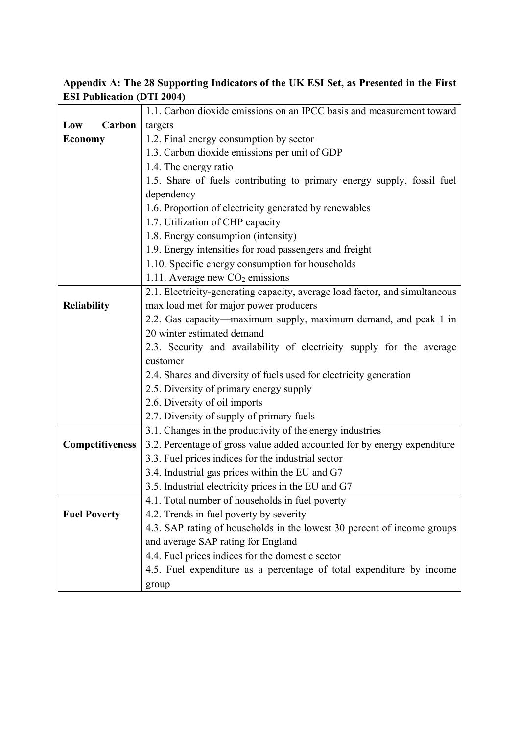| Appendix A: The 28 Supporting Indicators of the UK ESI Set, as Presented in the First |  |  |  |  |
|---------------------------------------------------------------------------------------|--|--|--|--|
| <b>ESI Publication (DTI 2004)</b>                                                     |  |  |  |  |

|                        | 1.1. Carbon dioxide emissions on an IPCC basis and measurement toward       |  |  |  |
|------------------------|-----------------------------------------------------------------------------|--|--|--|
| Low<br>Carbon          | targets                                                                     |  |  |  |
| <b>Economy</b>         | 1.2. Final energy consumption by sector                                     |  |  |  |
|                        | 1.3. Carbon dioxide emissions per unit of GDP                               |  |  |  |
|                        | 1.4. The energy ratio                                                       |  |  |  |
|                        | 1.5. Share of fuels contributing to primary energy supply, fossil fuel      |  |  |  |
|                        | dependency                                                                  |  |  |  |
|                        | 1.6. Proportion of electricity generated by renewables                      |  |  |  |
|                        | 1.7. Utilization of CHP capacity                                            |  |  |  |
|                        | 1.8. Energy consumption (intensity)                                         |  |  |  |
|                        | 1.9. Energy intensities for road passengers and freight                     |  |  |  |
|                        | 1.10. Specific energy consumption for households                            |  |  |  |
|                        | 1.11. Average new $CO2$ emissions                                           |  |  |  |
|                        | 2.1. Electricity-generating capacity, average load factor, and simultaneous |  |  |  |
| <b>Reliability</b>     | max load met for major power producers                                      |  |  |  |
|                        | 2.2. Gas capacity—maximum supply, maximum demand, and peak 1 in             |  |  |  |
|                        | 20 winter estimated demand                                                  |  |  |  |
|                        | 2.3. Security and availability of electricity supply for the average        |  |  |  |
|                        | customer                                                                    |  |  |  |
|                        | 2.4. Shares and diversity of fuels used for electricity generation          |  |  |  |
|                        | 2.5. Diversity of primary energy supply                                     |  |  |  |
|                        | 2.6. Diversity of oil imports                                               |  |  |  |
|                        | 2.7. Diversity of supply of primary fuels                                   |  |  |  |
|                        | 3.1. Changes in the productivity of the energy industries                   |  |  |  |
| <b>Competitiveness</b> | 3.2. Percentage of gross value added accounted for by energy expenditure    |  |  |  |
|                        | 3.3. Fuel prices indices for the industrial sector                          |  |  |  |
|                        | 3.4. Industrial gas prices within the EU and G7                             |  |  |  |
|                        | 3.5. Industrial electricity prices in the EU and G7                         |  |  |  |
|                        | 4.1. Total number of households in fuel poverty                             |  |  |  |
| <b>Fuel Poverty</b>    | 4.2. Trends in fuel poverty by severity                                     |  |  |  |
|                        | 4.3. SAP rating of households in the lowest 30 percent of income groups     |  |  |  |
|                        | and average SAP rating for England                                          |  |  |  |
|                        | 4.4. Fuel prices indices for the domestic sector                            |  |  |  |
|                        | 4.5. Fuel expenditure as a percentage of total expenditure by income        |  |  |  |
|                        | group                                                                       |  |  |  |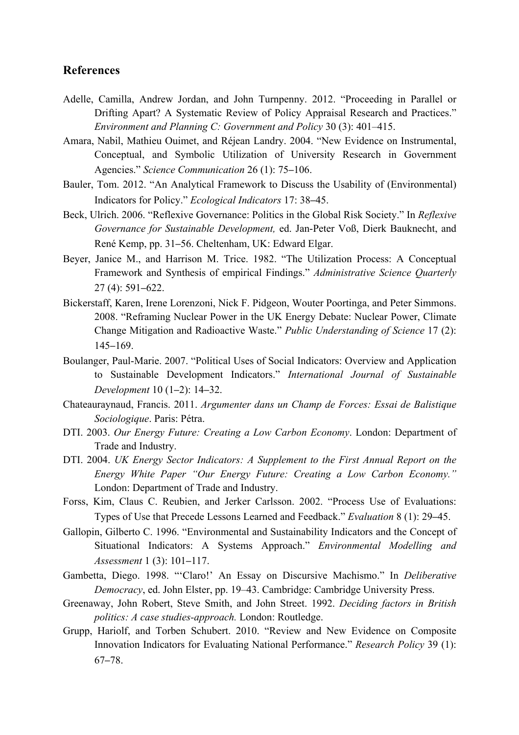# **References**

- Adelle, Camilla, Andrew Jordan, and John Turnpenny. 2012. "Proceeding in Parallel or Drifting Apart? A Systematic Review of Policy Appraisal Research and Practices." *Environment and Planning C: Government and Policy* 30 (3): 401–415.
- Amara, Nabil, Mathieu Ouimet, and Réjean Landry. 2004. "New Evidence on Instrumental, Conceptual, and Symbolic Utilization of University Research in Government Agencies." *Science Communication* 26 (1): 75–106.
- Bauler, Tom. 2012. "An Analytical Framework to Discuss the Usability of (Environmental) Indicators for Policy." *Ecological Indicators* 17: 38-45.
- Beck, Ulrich. 2006. "Reflexive Governance: Politics in the Global Risk Society." In *Reflexive Governance for Sustainable Development,* ed. Jan-Peter Voß, Dierk Bauknecht, and René Kemp, pp. 31–56. Cheltenham, UK: Edward Elgar.
- Beyer, Janice M., and Harrison M. Trice. 1982. "The Utilization Process: A Conceptual Framework and Synthesis of empirical Findings." *Administrative Science Quarterly*  $27(4)$ : 591-622.
- Bickerstaff, Karen, Irene Lorenzoni, Nick F. Pidgeon, Wouter Poortinga, and Peter Simmons. 2008. "Reframing Nuclear Power in the UK Energy Debate: Nuclear Power, Climate Change Mitigation and Radioactive Waste." *Public Understanding of Science* 17 (2): 145‒169.
- Boulanger, Paul-Marie. 2007. "Political Uses of Social Indicators: Overview and Application to Sustainable Development Indicators." *International Journal of Sustainable Development* 10 (1‒2): 14‒32.
- Chateauraynaud, Francis. 2011. *Argumenter dans un Champ de Forces: Essai de Balistique Sociologique*. Paris: Pétra.
- DTI. 2003. *Our Energy Future: Creating a Low Carbon Economy*. London: Department of Trade and Industry.
- DTI. 2004. *UK Energy Sector Indicators: A Supplement to the First Annual Report on the Energy White Paper "Our Energy Future: Creating a Low Carbon Economy."* London: Department of Trade and Industry.
- Forss, Kim, Claus C. Reubien, and Jerker Carlsson. 2002. "Process Use of Evaluations: Types of Use that Precede Lessons Learned and Feedback." *Evaluation* 8 (1): 29‒45.
- Gallopin, Gilberto C. 1996. "Environmental and Sustainability Indicators and the Concept of Situational Indicators: A Systems Approach." *Environmental Modelling and Assessment* 1 (3): 101–117.
- Gambetta, Diego. 1998. "'Claro!' An Essay on Discursive Machismo." In *Deliberative Democracy*, ed. John Elster, pp. 19–43. Cambridge: Cambridge University Press.
- Greenaway, John Robert, Steve Smith, and John Street. 1992. *Deciding factors in British politics: A case studies-approach.* London: Routledge.
- Grupp, Hariolf, and Torben Schubert. 2010. "Review and New Evidence on Composite Innovation Indicators for Evaluating National Performance." *Research Policy* 39 (1):  $67 - 78.$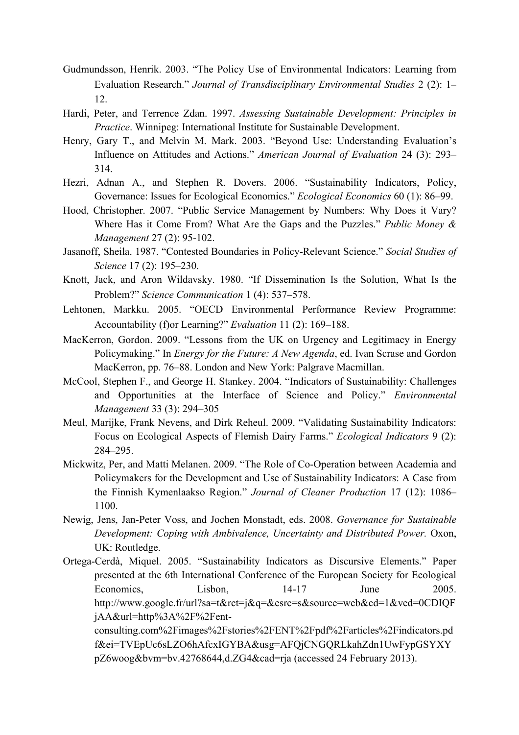- Gudmundsson, Henrik. 2003. "The Policy Use of Environmental Indicators: Learning from Evaluation Research." *Journal of Transdisciplinary Environmental Studies* 2 (2): 1– 12.
- Hardi, Peter, and Terrence Zdan. 1997. *Assessing Sustainable Development: Principles in Practice*. Winnipeg: International Institute for Sustainable Development.
- Henry, Gary T., and Melvin M. Mark. 2003. "Beyond Use: Understanding Evaluation's Influence on Attitudes and Actions." *American Journal of Evaluation* 24 (3): 293– 314.
- Hezri, Adnan A., and Stephen R. Dovers. 2006. "Sustainability Indicators, Policy, Governance: Issues for Ecological Economics." *Ecological Economics* 60 (1): 86–99.
- Hood, Christopher. 2007. "Public Service Management by Numbers: Why Does it Vary? Where Has it Come From? What Are the Gaps and the Puzzles." *Public Money & Management* 27 (2): 95-102.
- Jasanoff, Sheila. 1987. "Contested Boundaries in Policy-Relevant Science." *Social Studies of Science* 17 (2): 195–230.
- Knott, Jack, and Aron Wildavsky. 1980. "If Dissemination Is the Solution, What Is the Problem?" *Science Communication* 1 (4): 537–578.
- Lehtonen, Markku. 2005. "OECD Environmental Performance Review Programme: Accountability (f)or Learning?" *Evaluation* 11 (2): 169–188.
- MacKerron, Gordon. 2009. "Lessons from the UK on Urgency and Legitimacy in Energy Policymaking." In *Energy for the Future: A New Agenda*, ed. Ivan Scrase and Gordon MacKerron, pp. 76–88. London and New York: Palgrave Macmillan.
- McCool, Stephen F., and George H. Stankey. 2004. "Indicators of Sustainability: Challenges and Opportunities at the Interface of Science and Policy." *Environmental Management* 33 (3): 294–305
- Meul, Marijke, Frank Nevens, and Dirk Reheul. 2009. "Validating Sustainability Indicators: Focus on Ecological Aspects of Flemish Dairy Farms." *Ecological Indicators* 9 (2): 284–295.
- Mickwitz, Per, and Matti Melanen. 2009. "The Role of Co-Operation between Academia and Policymakers for the Development and Use of Sustainability Indicators: A Case from the Finnish Kymenlaakso Region." *Journal of Cleaner Production* 17 (12): 1086– 1100.
- Newig, Jens, Jan-Peter Voss, and Jochen Monstadt, eds. 2008. *Governance for Sustainable Development: Coping with Ambivalence, Uncertainty and Distributed Power.* Oxon, UK: Routledge.
- Ortega-Cerdà, Miquel. 2005. "Sustainability Indicators as Discursive Elements." Paper presented at the 6th International Conference of the European Society for Ecological Economics. Lisbon, 14-17 June 2005. http://www.google.fr/url?sa=t&rct=j&q=&esrc=s&source=web&cd=1&ved=0CDIQF jAA&url=http%3A%2F%2Fent-

consulting.com%2Fimages%2Fstories%2FENT%2Fpdf%2Farticles%2Findicators.pd f&ei=TVEpUc6sLZO6hAfcxIGYBA&usg=AFQjCNGQRLkahZdn1UwFypGSYXY pZ6woog&bvm=bv.42768644,d.ZG4&cad=rja (accessed 24 February 2013).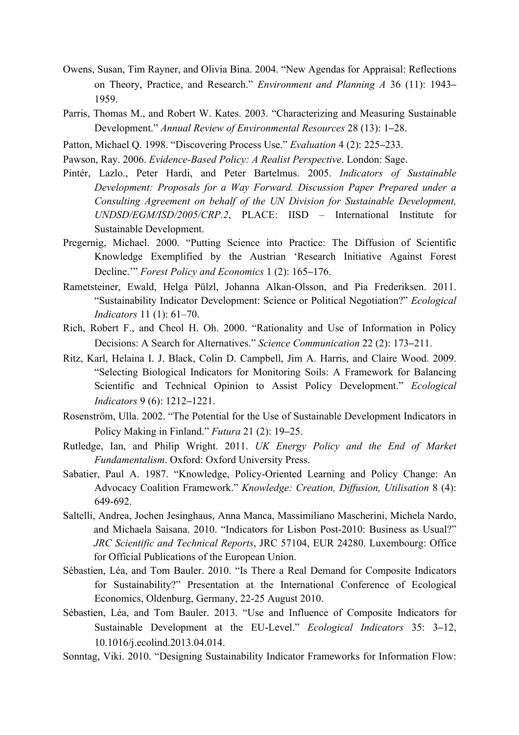- Owens, Susan, Tim Rayner, and Olivia Bina. 2004. "New Agendas for Appraisal: Reflections on Theory, Practice, and Research." *Environment and Planning A* 36 (11): 1943– 1959.
- Parris, Thomas M., and Robert W. Kates. 2003. "Characterizing and Measuring Sustainable Development." *Annual Review of Environmental Resources* 28 (13): 1–28.
- Patton, Michael Q. 1998. "Discovering Process Use." *Evaluation* 4 (2): 225–233.
- Pawson, Ray. 2006. *Evidence-Based Policy: A Realist Perspective*. London: Sage.
- Pintér, Lazlo., Peter Hardi, and Peter Bartelmus. 2005. *Indicators of Sustainable Development: Proposals for a Way Forward. Discussion Paper Prepared under a Consulting Agreement on behalf of the UN Division for Sustainable Development, UNDSD/EGM/ISD/2005/CRP.2*, PLACE: IISD – International Institute for Sustainable Development.
- Pregernig, Michael. 2000. "Putting Science into Practice: The Diffusion of Scientific Knowledge Exemplified by the Austrian 'Research Initiative Against Forest Decline." *Forest Policy and Economics* 1 (2): 165–176.
- Rametsteiner, Ewald, Helga Pülzl, Johanna Alkan-Olsson, and Pia Frederiksen. 2011. "Sustainability Indicator Development: Science or Political Negotiation?" *Ecological Indicators* 11 (1): 61–70.
- Rich, Robert F., and Cheol H. Oh. 2000. "Rationality and Use of Information in Policy Decisions: A Search for Alternatives." *Science Communication 22 (2)*: 173–211.
- Ritz, Karl, Helaina I. J. Black, Colin D. Campbell, Jim A. Harris, and Claire Wood. 2009. "Selecting Biological Indicators for Monitoring Soils: A Framework for Balancing Scientific and Technical Opinion to Assist Policy Development." *Ecological Indicators* 9 (6): 1212–1221.
- Rosenström, Ulla. 2002. "The Potential for the Use of Sustainable Development Indicators in Policy Making in Finland." *Futura* 21 (2): 19‒25.
- Rutledge, Ian, and Philip Wright. 2011. *UK Energy Policy and the End of Market Fundamentalism*. Oxford: Oxford University Press.
- Sabatier, Paul A. 1987. "Knowledge, Policy-Oriented Learning and Policy Change: An Advocacy Coalition Framework." *Knowledge: Creation, Diffusion, Utilisation* 8 (4): 649-692.
- Saltelli, Andrea, Jochen Jesinghaus, Anna Manca, Massimiliano Mascherini, Michela Nardo, and Michaela Saisana. 2010. "Indicators for Lisbon Post-2010: Business as Usual?" *JRC Scientific and Technical Reports*, JRC 57104, EUR 24280. Luxembourg: Office for Official Publications of the European Union.
- Sébastien, Léa, and Tom Bauler. 2010. "Is There a Real Demand for Composite Indicators for Sustainability?" Presentation at the International Conference of Ecological Economics, Oldenburg, Germany, 22-25 August 2010.
- Sébastien, Léa, and Tom Bauler. 2013. "Use and Influence of Composite Indicators for Sustainable Development at the EU-Level." *Ecological Indicators* 35: 3–12, 10.1016/j.ecolind.2013.04.014.
- Sonntag, Viki. 2010. "Designing Sustainability Indicator Frameworks for Information Flow: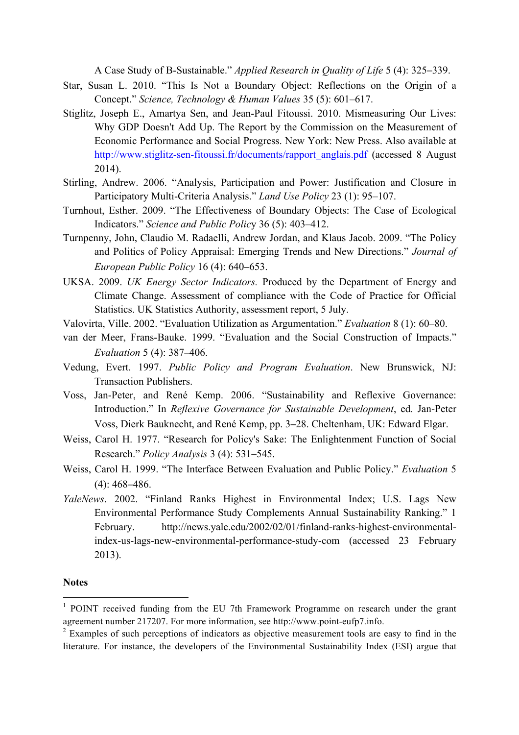A Case Study of B-Sustainable." *Applied Research in Quality of Life* 5 (4): 325–339.

- Star, Susan L. 2010. "This Is Not a Boundary Object: Reflections on the Origin of a Concept." *Science, Technology & Human Values* 35 (5): 601‒617.
- Stiglitz, Joseph E., Amartya Sen, and Jean-Paul Fitoussi. 2010. Mismeasuring Our Lives: Why GDP Doesn't Add Up. The Report by the Commission on the Measurement of Economic Performance and Social Progress. New York: New Press. Also available at http://www.stiglitz-sen-fitoussi.fr/documents/rapport\_anglais.pdf (accessed 8 August 2014).
- Stirling, Andrew. 2006. "Analysis, Participation and Power: Justification and Closure in Participatory Multi-Criteria Analysis." *Land Use Policy* 23 (1): 95–107.
- Turnhout, Esther. 2009. "The Effectiveness of Boundary Objects: The Case of Ecological Indicators." *Science and Public Polic*y 36 (5): 403–412.
- Turnpenny, John, Claudio M. Radaelli, Andrew Jordan, and Klaus Jacob. 2009. "The Policy and Politics of Policy Appraisal: Emerging Trends and New Directions." *Journal of European Public Policy* 16 (4): 640‒653.
- UKSA. 2009. *UK Energy Sector Indicators.* Produced by the Department of Energy and Climate Change. Assessment of compliance with the Code of Practice for Official Statistics. UK Statistics Authority, assessment report, 5 July.
- Valovirta, Ville. 2002. "Evaluation Utilization as Argumentation." *Evaluation* 8 (1): 60–80.
- van der Meer, Frans-Bauke. 1999. "Evaluation and the Social Construction of Impacts." *Evaluation* 5 (4): 387–406.
- Vedung, Evert. 1997. *Public Policy and Program Evaluation*. New Brunswick, NJ: Transaction Publishers.
- Voss, Jan-Peter, and René Kemp. 2006. "Sustainability and Reflexive Governance: Introduction." In *Reflexive Governance for Sustainable Development*, ed. Jan-Peter Voss, Dierk Bauknecht, and René Kemp, pp. 3‒28. Cheltenham, UK: Edward Elgar.
- Weiss, Carol H. 1977. "Research for Policy's Sake: The Enlightenment Function of Social Research." *Policy Analysis* 3 (4): 531‒545.
- Weiss, Carol H. 1999. "The Interface Between Evaluation and Public Policy." *Evaluation* 5  $(4)$ : 468–486.
- *YaleNews*. 2002. "Finland Ranks Highest in Environmental Index; U.S. Lags New Environmental Performance Study Complements Annual Sustainability Ranking." 1 February. http://news.yale.edu/2002/02/01/finland-ranks-highest-environmentalindex-us-lags-new-environmental-performance-study-com (accessed 23 February 2013).

#### **Notes**

 $1$  POINT received funding from the EU 7th Framework Programme on research under the grant agreement number 217207. For more information, see http://www.point-eufp7.info.

 $2$  Examples of such perceptions of indicators as objective measurement tools are easy to find in the literature. For instance, the developers of the Environmental Sustainability Index (ESI) argue that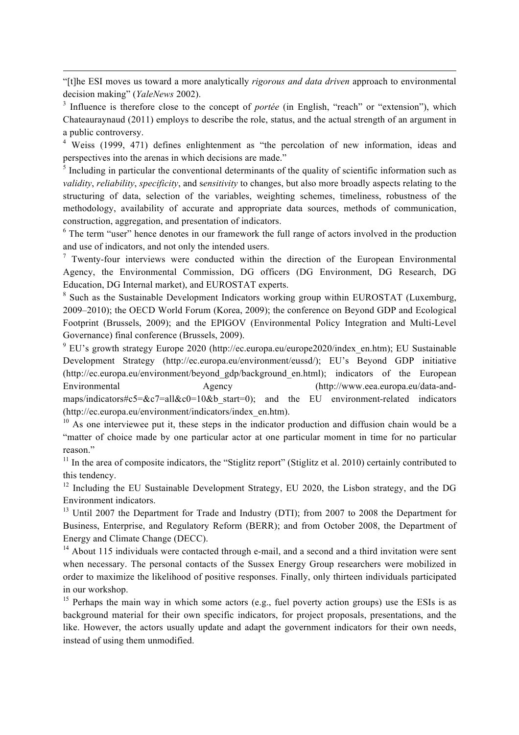"[t]he ESI moves us toward a more analytically *rigorous and data driven* approach to environmental decision making" (*YaleNews* 2002).

<u> Andrewski politika (za obrazu za obrazu za obrazu za obrazu za obrazu za obrazu za obrazu za obrazu za obrazu</u>

<sup>4</sup> Weiss (1999, 471) defines enlightenment as "the percolation of new information, ideas and perspectives into the arenas in which decisions are made."

 $<sup>5</sup>$  Including in particular the conventional determinants of the quality of scientific information such as</sup> *validity*, *reliability*, *specificity*, and s*ensitivity* to changes, but also more broadly aspects relating to the structuring of data, selection of the variables, weighting schemes, timeliness, robustness of the methodology, availability of accurate and appropriate data sources, methods of communication, construction, aggregation, and presentation of indicators.

<sup>6</sup> The term "user" hence denotes in our framework the full range of actors involved in the production and use of indicators, and not only the intended users.

 $\frac{7}{1}$  Twenty-four interviews were conducted within the direction of the European Environmental Agency, the Environmental Commission, DG officers (DG Environment, DG Research, DG Education, DG Internal market), and EUROSTAT experts.

<sup>8</sup> Such as the Sustainable Development Indicators working group within EUROSTAT (Luxemburg, 2009–2010); the OECD World Forum (Korea, 2009); the conference on Beyond GDP and Ecological Footprint (Brussels, 2009); and the EPIGOV (Environmental Policy Integration and Multi-Level Governance) final conference (Brussels, 2009).

 $9$  EU's growth strategy Europe 2020 (http://ec.europa.eu/europe2020/index en.htm); EU Sustainable Development Strategy (http://ec.europa.eu/environment/eussd/); EU's Beyond GDP initiative (http://ec.europa.eu/environment/beyond\_gdp/background\_en.html); indicators of the European Environmental Agency (http://www.eea.europa.eu/data-andmaps/indicators#c5= $&c7=$ all $&c0=10&&b$  start=0); and the EU environment-related indicators (http://ec.europa.eu/environment/indicators/index\_en.htm).

 $10$  As one interviewee put it, these steps in the indicator production and diffusion chain would be a "matter of choice made by one particular actor at one particular moment in time for no particular reason."

 $11$  In the area of composite indicators, the "Stiglitz report" (Stiglitz et al. 2010) certainly contributed to this tendency.

<sup>12</sup> Including the EU Sustainable Development Strategy, EU 2020, the Lisbon strategy, and the DG Environment indicators.

<sup>13</sup> Until 2007 the Department for Trade and Industry (DTI); from 2007 to 2008 the Department for Business, Enterprise, and Regulatory Reform (BERR); and from October 2008, the Department of Energy and Climate Change (DECC).

 $14$  About 115 individuals were contacted through e-mail, and a second and a third invitation were sent when necessary. The personal contacts of the Sussex Energy Group researchers were mobilized in order to maximize the likelihood of positive responses. Finally, only thirteen individuals participated in our workshop.

<sup>15</sup> Perhaps the main way in which some actors (e.g., fuel poverty action groups) use the ESIs is as background material for their own specific indicators, for project proposals, presentations, and the like. However, the actors usually update and adapt the government indicators for their own needs, instead of using them unmodified.

<sup>3</sup> Influence is therefore close to the concept of *portée* (in English, "reach" or "extension"), which Chateauraynaud (2011) employs to describe the role, status, and the actual strength of an argument in a public controversy.